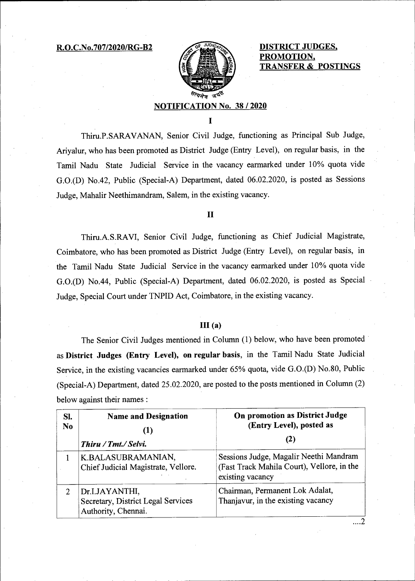R.O.C.No.707/2020/RG-B2 **DISTRICT JUDGES,** 



**PROMOTION, TRANSFER & POSTINGS** 

## **NOTIFICATION No. 38 / 2020**

Thiru.P.SARAVANAN, Senior Civil Judge, functioning as Principal Sub Judge, Ariyalur, who has been promoted as District Judge (Entry Level), on regular basis, in the Tamil Nadu State Judicial Service in the vacancy earmarked under 10% quota vide G.0.(D) No.42, Public (Special-A) Department, dated 06.02.2020, is posted as Sessions Judge, Mahalir Neethimandram, Salem, in the existing vacancy.

## **II**

Thiru.A.S.RAVI, Senior Civil Judge, functioning as Chief Judicial Magistrate, Coimbatore, who has been promoted as District Judge (Entry Level), on regular basis, in the Tamil Nadu State Judicial Service in the vacancy earmarked under 10% quota vide G.0.(D) No.44, Public (Special-A) Department, dated 06.02.2020, is posted as Special Judge, Special Court under TNPID Act, Coimbatore, in the existing vacancy.

## **111(a)**

The Senior Civil Judges mentioned in Column (1) below, who have been promoted as **District Judges (Entry Level), on regular basis,** in the Tamil Nadu State Judicial Service, in the existing vacancies earmarked under 65% quota, vide G.0.(D) No.80, Public (Special-A) Department, dated 25.02.2020, are posted to the posts mentioned in Column (2) below against their names:

| Sl.<br>N <sub>0</sub> | <b>Name and Designation</b><br>$\bf(1)$<br>Thiru / Tmt./ Selvi.             | <b>On promotion as District Judge</b><br>(Entry Level), posted as<br>(2)                                 |
|-----------------------|-----------------------------------------------------------------------------|----------------------------------------------------------------------------------------------------------|
|                       | K.BALASUBRAMANIAN,<br>Chief Judicial Magistrate, Vellore.                   | Sessions Judge, Magalir Neethi Mandram<br>(Fast Track Mahila Court), Vellore, in the<br>existing vacancy |
| 2                     | Dr.I.JAYANTHI,<br>Secretary, District Legal Services<br>Authority, Chennai. | Chairman, Permanent Lok Adalat,<br>Thanjavur, in the existing vacancy                                    |
|                       |                                                                             |                                                                                                          |